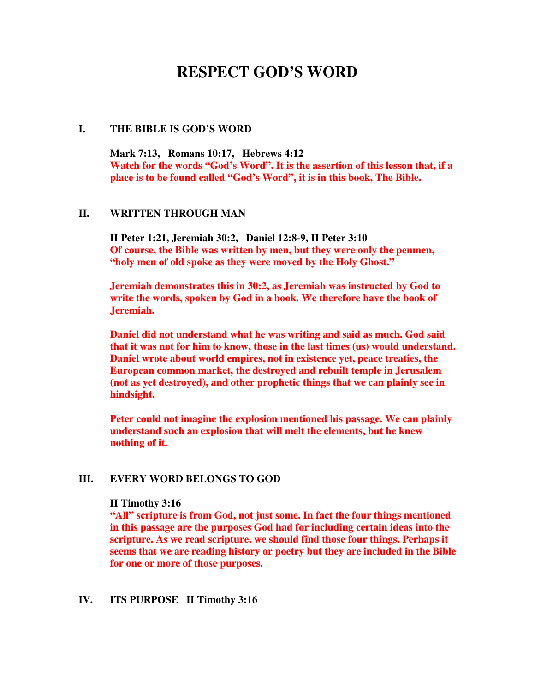# **RESPECT GOD'S WORD**

#### **I. THE BIBLE IS GOD'S WORD**

**Mark 7:13, Romans 10:17, Hebrews 4:12 Watch for the words "God's Word". It is the assertion of this lesson that, if a place is to be found called "God's Word", it is in this book, The Bible.** 

# **II. WRITTEN THROUGH MAN**

**II Peter 1:21, Jeremiah 30:2, Daniel 12:8-9, II Peter 3:10 Of course, the Bible was written by men, but they were only the penmen, "holy men of old spoke as they were moved by the Holy Ghost."** 

**Jeremiah demonstrates this in 30:2, as Jeremiah was instructed by God to write the words, spoken by God in a book. We therefore have the book of Jeremiah.** 

**Daniel did not understand what he was writing and said as much. God said that it was not for him to know, those in the last times (us) would understand. Daniel wrote about world empires, not in existence yet, peace treaties, the European common market, the destroyed and rebuilt temple in Jerusalem (not as yet destroyed), and other prophetic things that we can plainly see in hindsight.** 

**Peter could not imagine the explosion mentioned his passage. We can plainly understand such an explosion that will melt the elements, but he knew nothing of it.** 

# **III. EVERY WORD BELONGS TO GOD**

#### **II Timothy 3:16**

**"All" scripture is from God, not just some. In fact the four things mentioned in this passage are the purposes God had for including certain ideas into the scripture. As we read scripture, we should find those four things. Perhaps it seems that we are reading history or poetry but they are included in the Bible for one or more of those purposes.** 

#### **IV. ITS PURPOSE II Timothy 3:16**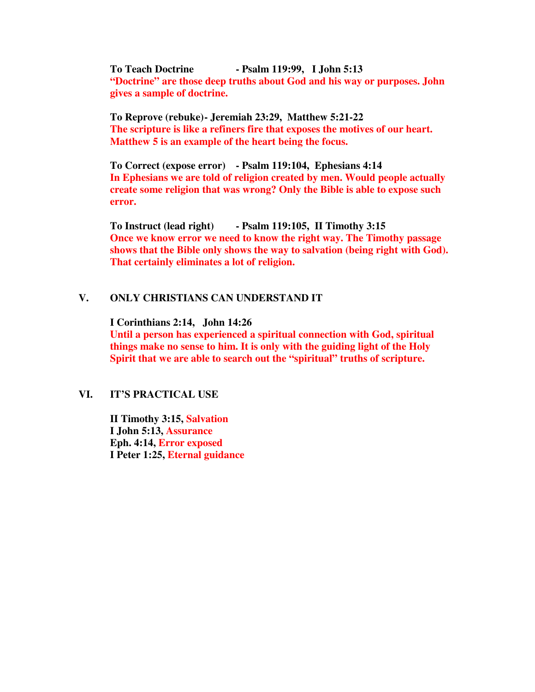**To Teach Doctrine - Psalm 119:99, I John 5:13 "Doctrine" are those deep truths about God and his way or purposes. John gives a sample of doctrine.** 

 **To Reprove (rebuke) - Jeremiah 23:29, Matthew 5:21-22 The scripture is like a refiners fire that exposes the motives of our heart. Matthew 5 is an example of the heart being the focus.** 

 **To Correct (expose error) - Psalm 119:104, Ephesians 4:14 In Ephesians we are told of religion created by men. Would people actually create some religion that was wrong? Only the Bible is able to expose such error.** 

 **To Instruct (lead right) - Psalm 119:105, II Timothy 3:15 Once we know error we need to know the right way. The Timothy passage shows that the Bible only shows the way to salvation (being right with God). That certainly eliminates a lot of religion.** 

# **V. ONLY CHRISTIANS CAN UNDERSTAND IT**

**I Corinthians 2:14, John 14:26** 

**Until a person has experienced a spiritual connection with God, spiritual things make no sense to him. It is only with the guiding light of the Holy Spirit that we are able to search out the "spiritual" truths of scripture.** 

# **VI. IT'S PRACTICAL USE**

**II Timothy 3:15, Salvation I John 5:13, Assurance Eph. 4:14, Error exposed I Peter 1:25, Eternal guidance**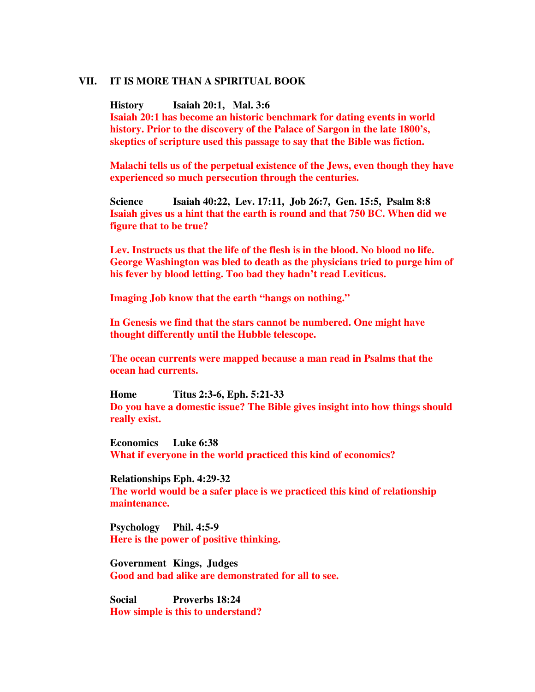#### **VII. IT IS MORE THAN A SPIRITUAL BOOK**

**History Isaiah 20:1, Mal. 3:6 Isaiah 20:1 has become an historic benchmark for dating events in world history. Prior to the discovery of the Palace of Sargon in the late 1800's, skeptics of scripture used this passage to say that the Bible was fiction.** 

**Malachi tells us of the perpetual existence of the Jews, even though they have experienced so much persecution through the centuries.** 

**Science Isaiah 40:22, Lev. 17:11, Job 26:7, Gen. 15:5, Psalm 8:8 Isaiah gives us a hint that the earth is round and that 750 BC. When did we figure that to be true?** 

**Lev. Instructs us that the life of the flesh is in the blood. No blood no life. George Washington was bled to death as the physicians tried to purge him of his fever by blood letting. Too bad they hadn't read Leviticus.** 

**Imaging Job know that the earth "hangs on nothing."** 

**In Genesis we find that the stars cannot be numbered. One might have thought differently until the Hubble telescope.** 

**The ocean currents were mapped because a man read in Psalms that the ocean had currents.** 

**Home Titus 2:3-6, Eph. 5:21-33 Do you have a domestic issue? The Bible gives insight into how things should really exist.** 

**Economics Luke 6:38 What if everyone in the world practiced this kind of economics?** 

**Relationships Eph. 4:29-32 The world would be a safer place is we practiced this kind of relationship maintenance.** 

**Psychology Phil. 4:5-9 Here is the power of positive thinking.** 

**Government Kings, Judges Good and bad alike are demonstrated for all to see.** 

**Social Proverbs 18:24 How simple is this to understand?**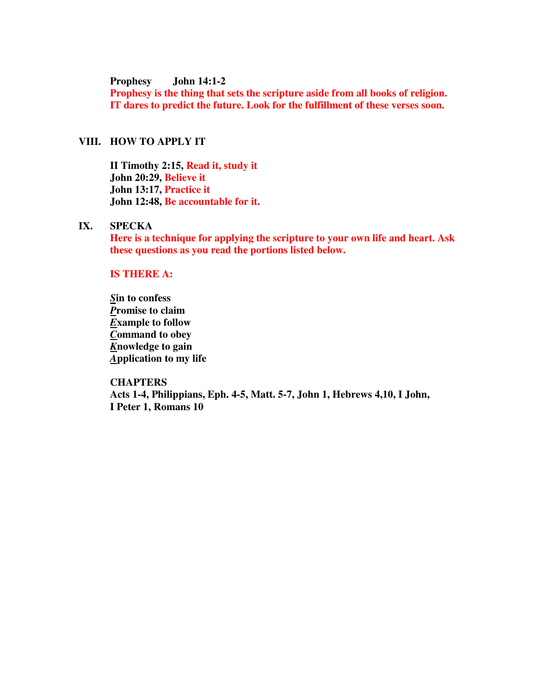**Prophesy John 14:1-2** 

**Prophesy is the thing that sets the scripture aside from all books of religion. IT dares to predict the future. Look for the fulfillment of these verses soon.** 

# **VIII. HOW TO APPLY IT**

**II Timothy 2:15, Read it, study it John 20:29, Believe it John 13:17, Practice it John 12:48, Be accountable for it.** 

# **IX. SPECKA**

**Here is a technique for applying the scripture to your own life and heart. Ask these questions as you read the portions listed below.** 

# **IS THERE A:**

*S***in to confess**  *P***romise to claim**  *E***xample to follow**  *C***ommand to obey**  *K***nowledge to gain**  *A***pplication to my life** 

#### **CHAPTERS**

**Acts 1-4, Philippians, Eph. 4-5, Matt. 5-7, John 1, Hebrews 4,10, I John, I Peter 1, Romans 10**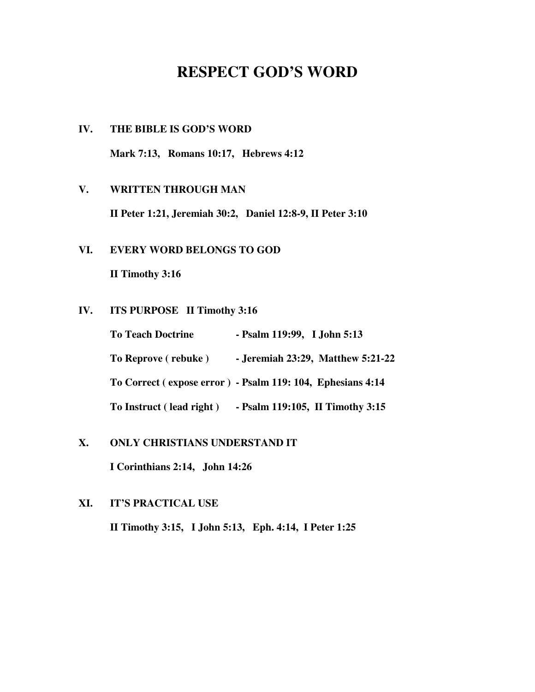# **RESPECT GOD'S WORD**

**IV. THE BIBLE IS GOD'S WORD Mark 7:13, Romans 10:17, Hebrews 4:12** 

# **V. WRITTEN THROUGH MAN**

**II Peter 1:21, Jeremiah 30:2, Daniel 12:8-9, II Peter 3:10** 

# **VI. EVERY WORD BELONGS TO GOD**

**II Timothy 3:16** 

# **IV. ITS PURPOSE II Timothy 3:16**

| <b>To Teach Doctrine</b> | - Psalm 119:99, I John 5:13                                |
|--------------------------|------------------------------------------------------------|
| To Reprove (rebuke)      | - Jeremiah 23:29, Matthew 5:21-22                          |
|                          | To Correct (expose error) - Psalm 119: 104, Ephesians 4:14 |
| To Instruct (lead right) | - Psalm 119:105, II Timothy 3:15                           |

# **X. ONLY CHRISTIANS UNDERSTAND IT**

**I Corinthians 2:14, John 14:26** 

# **XI. IT'S PRACTICAL USE**

**II Timothy 3:15, I John 5:13, Eph. 4:14, I Peter 1:25**